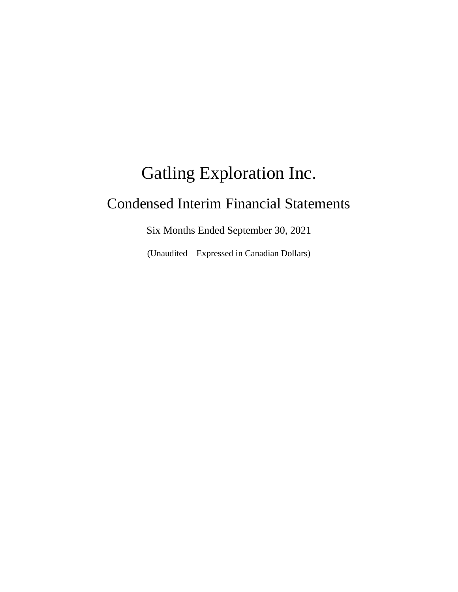# Gatling Exploration Inc. Condensed Interim Financial Statements

Six Months Ended September 30, 2021

(Unaudited – Expressed in Canadian Dollars)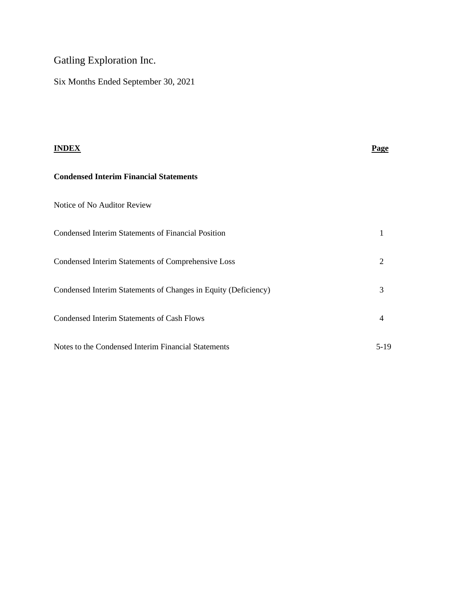# Gatling Exploration Inc.

Six Months Ended September 30, 2021

| <b>INDEX</b>                                                   | <b>Page</b>    |
|----------------------------------------------------------------|----------------|
| <b>Condensed Interim Financial Statements</b>                  |                |
| Notice of No Auditor Review                                    |                |
| <b>Condensed Interim Statements of Financial Position</b>      | 1              |
| Condensed Interim Statements of Comprehensive Loss             | $\overline{2}$ |
| Condensed Interim Statements of Changes in Equity (Deficiency) | 3              |
| <b>Condensed Interim Statements of Cash Flows</b>              | $\overline{4}$ |
| Notes to the Condensed Interim Financial Statements            | $5-19$         |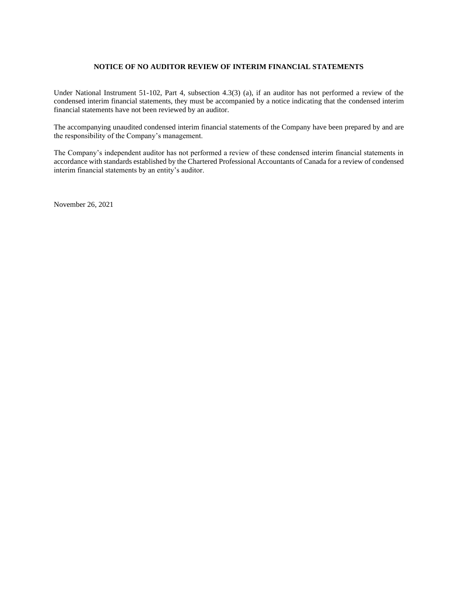## **NOTICE OF NO AUDITOR REVIEW OF INTERIM FINANCIAL STATEMENTS**

Under National Instrument 51-102, Part 4, subsection 4.3(3) (a), if an auditor has not performed a review of the condensed interim financial statements, they must be accompanied by a notice indicating that the condensed interim financial statements have not been reviewed by an auditor.

The accompanying unaudited condensed interim financial statements of the Company have been prepared by and are the responsibility of the Company's management.

The Company's independent auditor has not performed a review of these condensed interim financial statements in accordance with standards established by the Chartered Professional Accountants of Canada for a review of condensed interim financial statements by an entity's auditor.

November 26, 2021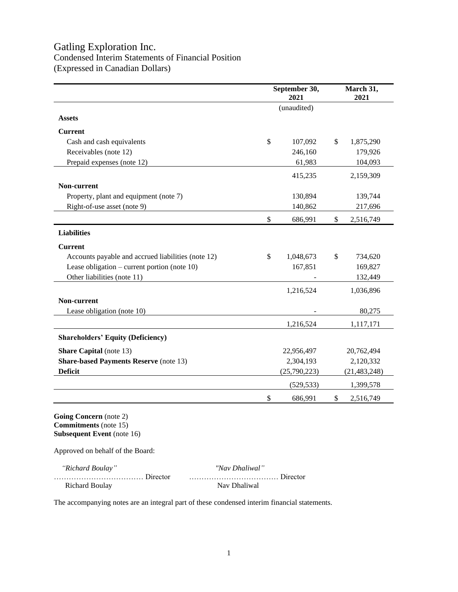# Gatling Exploration Inc. Condensed Interim Statements of Financial Position (Expressed in Canadian Dollars)

|                                                    | September 30,<br>2021 | March 31,<br>2021 |
|----------------------------------------------------|-----------------------|-------------------|
|                                                    | (unaudited)           |                   |
| <b>Assets</b>                                      |                       |                   |
| <b>Current</b>                                     |                       |                   |
| Cash and cash equivalents                          | \$<br>107,092         | \$<br>1,875,290   |
| Receivables (note 12)                              | 246,160               | 179,926           |
| Prepaid expenses (note 12)                         | 61,983                | 104,093           |
|                                                    | 415,235               | 2,159,309         |
| Non-current                                        |                       |                   |
| Property, plant and equipment (note 7)             | 130,894               | 139,744           |
| Right-of-use asset (note 9)                        | 140,862               | 217,696           |
|                                                    | \$<br>686,991         | \$<br>2,516,749   |
| <b>Liabilities</b>                                 |                       |                   |
| <b>Current</b>                                     |                       |                   |
| Accounts payable and accrued liabilities (note 12) | \$<br>1,048,673       | \$<br>734,620     |
| Lease obligation – current portion (note $10$ )    | 167,851               | 169,827           |
| Other liabilities (note 11)                        |                       | 132,449           |
|                                                    | 1,216,524             | 1,036,896         |
| Non-current                                        |                       |                   |
| Lease obligation (note 10)                         |                       | 80,275            |
|                                                    | 1,216,524             | 1,117,171         |
| <b>Shareholders' Equity (Deficiency)</b>           |                       |                   |
| <b>Share Capital</b> (note 13)                     | 22,956,497            | 20,762,494        |
| <b>Share-based Payments Reserve (note 13)</b>      | 2,304,193             | 2,120,332         |
| <b>Deficit</b>                                     | (25,790,223)          | (21, 483, 248)    |
|                                                    | (529, 533)            | 1,399,578         |
|                                                    | \$<br>686,991         | \$<br>2,516,749   |

**Commitments** (note 15) **Subsequent Event** (note 16)

Approved on behalf of the Board:

| "Richard Boulay" | "Nav Dhaliwal" |
|------------------|----------------|
|                  |                |
| Richard Boulay   | Nav Dhaliwal   |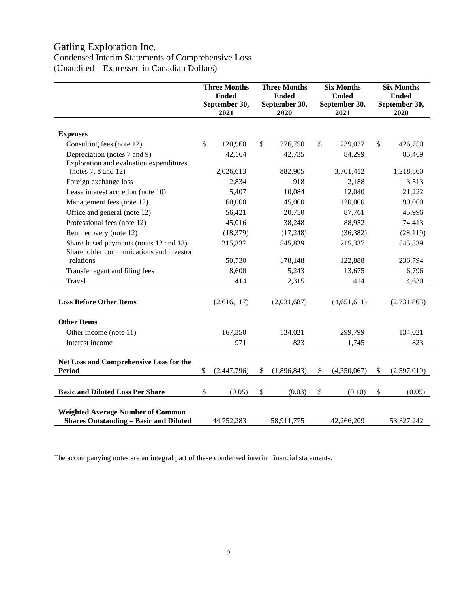# Gatling Exploration Inc.

# Condensed Interim Statements of Comprehensive Loss (Unaudited – Expressed in Canadian Dollars)

|                                                                                           | <b>Three Months</b><br><b>Ended</b><br>September 30,<br>2021 |             |                           | <b>Three Months</b><br><b>Ended</b><br>September 30,<br>2020 | <b>Six Months</b><br><b>Ended</b><br>September 30,<br>2021 |             |    | <b>Six Months</b><br><b>Ended</b><br>September 30,<br>2020 |  |
|-------------------------------------------------------------------------------------------|--------------------------------------------------------------|-------------|---------------------------|--------------------------------------------------------------|------------------------------------------------------------|-------------|----|------------------------------------------------------------|--|
| <b>Expenses</b>                                                                           |                                                              |             |                           |                                                              |                                                            |             |    |                                                            |  |
| Consulting fees (note 12)                                                                 | \$                                                           | 120,960     | \$                        | 276,750                                                      | \$                                                         | 239,027     | \$ | 426,750                                                    |  |
| Depreciation (notes 7 and 9)<br>Exploration and evaluation expenditures                   |                                                              | 42,164      |                           | 42,735                                                       |                                                            | 84,299      |    | 85,469                                                     |  |
| (notes $7, 8$ and $12$ )                                                                  |                                                              | 2,026,613   |                           | 882,905                                                      |                                                            | 3,701,412   |    | 1,218,560                                                  |  |
| Foreign exchange loss                                                                     |                                                              | 2,834       |                           | 918                                                          |                                                            | 2,188       |    | 3,513                                                      |  |
| Lease interest accretion (note 10)                                                        |                                                              | 5,407       |                           | 10,084                                                       |                                                            | 12,040      |    | 21,222                                                     |  |
| Management fees (note 12)                                                                 |                                                              | 60,000      |                           | 45,000                                                       |                                                            | 120,000     |    | 90,000                                                     |  |
| Office and general (note 12)                                                              |                                                              | 56,421      |                           | 20,750                                                       |                                                            | 87,761      |    | 45,996                                                     |  |
| Professional fees (note 12)                                                               |                                                              | 45,016      |                           | 38,248                                                       |                                                            | 88,952      |    | 74,413                                                     |  |
| Rent recovery (note 12)                                                                   |                                                              | (18, 379)   |                           | (17,248)                                                     |                                                            | (36, 382)   |    | (28, 119)                                                  |  |
| Share-based payments (notes 12 and 13)<br>Shareholder communications and investor         |                                                              | 215,337     |                           | 545,839                                                      |                                                            | 215,337     |    | 545,839                                                    |  |
| relations                                                                                 |                                                              | 50,730      |                           | 178,148                                                      |                                                            | 122,888     |    | 236,794                                                    |  |
| Transfer agent and filing fees                                                            |                                                              | 8,600       |                           | 5,243                                                        |                                                            | 13,675      |    | 6,796                                                      |  |
| Travel                                                                                    |                                                              | 414         |                           | 2,315                                                        |                                                            | 414         |    | 4,630                                                      |  |
| <b>Loss Before Other Items</b>                                                            |                                                              | (2,616,117) |                           | (2,031,687)                                                  |                                                            | (4,651,611) |    | (2,731,863)                                                |  |
| <b>Other Items</b>                                                                        |                                                              |             |                           |                                                              |                                                            |             |    |                                                            |  |
| Other income (note 11)                                                                    |                                                              | 167,350     |                           | 134,021                                                      |                                                            | 299,799     |    | 134,021                                                    |  |
| Interest income                                                                           |                                                              | 971         |                           | 823                                                          |                                                            | 1,745       |    | 823                                                        |  |
| Net Loss and Comprehensive Loss for the<br><b>Period</b>                                  | \$                                                           | (2,447,796) | \$                        | (1,896,843)                                                  | \$                                                         | (4,350,067) | \$ | (2,597,019)                                                |  |
| <b>Basic and Diluted Loss Per Share</b>                                                   | \$                                                           | (0.05)      | $\boldsymbol{\mathsf{S}}$ | (0.03)                                                       | $\$\,$                                                     | (0.10)      | \$ | (0.05)                                                     |  |
| <b>Weighted Average Number of Common</b><br><b>Shares Outstanding - Basic and Diluted</b> |                                                              | 44,752,283  |                           | 58,911,775                                                   |                                                            | 42,266,209  |    | 53,327,242                                                 |  |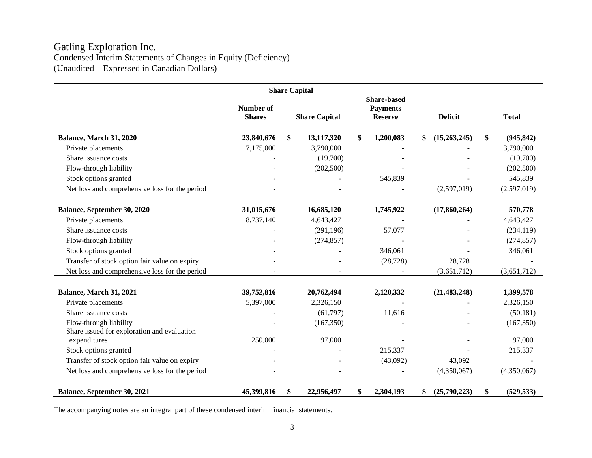# Gatling Exploration Inc. Condensed Interim Statements of Changes in Equity (Deficiency) (Unaudited – Expressed in Canadian Dollars)

|                                                | <b>Share Capital</b>       |    |                      |                                                         |                    |                  |
|------------------------------------------------|----------------------------|----|----------------------|---------------------------------------------------------|--------------------|------------------|
|                                                | Number of<br><b>Shares</b> |    | <b>Share Capital</b> | <b>Share-based</b><br><b>Payments</b><br><b>Reserve</b> | <b>Deficit</b>     | <b>Total</b>     |
|                                                |                            |    |                      |                                                         |                    |                  |
| Balance, March 31, 2020                        | 23,840,676                 | \$ | 13,117,320           | \$<br>1,200,083                                         | \$<br>(15,263,245) | \$<br>(945, 842) |
| Private placements                             | 7,175,000                  |    | 3,790,000            |                                                         |                    | 3,790,000        |
| Share issuance costs                           |                            |    | (19,700)             |                                                         |                    | (19,700)         |
| Flow-through liability                         |                            |    | (202, 500)           |                                                         |                    | (202,500)        |
| Stock options granted                          |                            |    |                      | 545,839                                                 |                    | 545,839          |
| Net loss and comprehensive loss for the period |                            |    |                      |                                                         | (2,597,019)        | (2,597,019)      |
|                                                |                            |    |                      |                                                         |                    |                  |
| Balance, September 30, 2020                    | 31,015,676                 |    | 16,685,120           | 1,745,922                                               | (17,860,264)       | 570,778          |
| Private placements                             | 8,737,140                  |    | 4,643,427            |                                                         |                    | 4,643,427        |
| Share issuance costs                           |                            |    | (291, 196)           | 57,077                                                  |                    | (234, 119)       |
| Flow-through liability                         |                            |    | (274, 857)           |                                                         |                    | (274, 857)       |
| Stock options granted                          |                            |    |                      | 346,061                                                 |                    | 346,061          |
| Transfer of stock option fair value on expiry  |                            |    |                      | (28, 728)                                               | 28,728             |                  |
| Net loss and comprehensive loss for the period |                            |    |                      |                                                         | (3,651,712)        | (3,651,712)      |
|                                                |                            |    |                      |                                                         |                    |                  |
| Balance, March 31, 2021                        | 39,752,816                 |    | 20,762,494           | 2,120,332                                               | (21, 483, 248)     | 1,399,578        |
| Private placements                             | 5,397,000                  |    | 2,326,150            |                                                         |                    | 2,326,150        |
| Share issuance costs                           |                            |    | (61,797)             | 11,616                                                  |                    | (50, 181)        |
| Flow-through liability                         |                            |    | (167, 350)           |                                                         |                    | (167, 350)       |
| Share issued for exploration and evaluation    |                            |    |                      |                                                         |                    |                  |
| expenditures                                   | 250,000                    |    | 97,000               |                                                         |                    | 97,000           |
| Stock options granted                          |                            |    |                      | 215,337                                                 |                    | 215,337          |
| Transfer of stock option fair value on expiry  |                            |    |                      | (43,092)                                                | 43,092             |                  |
| Net loss and comprehensive loss for the period |                            |    |                      |                                                         | (4,350,067)        | (4,350,067)      |
| Balance, September 30, 2021                    | 45,399,816                 | \$ | 22,956,497           | \$<br>2,304,193                                         | (25,790,223)<br>\$ | \$<br>(529, 533) |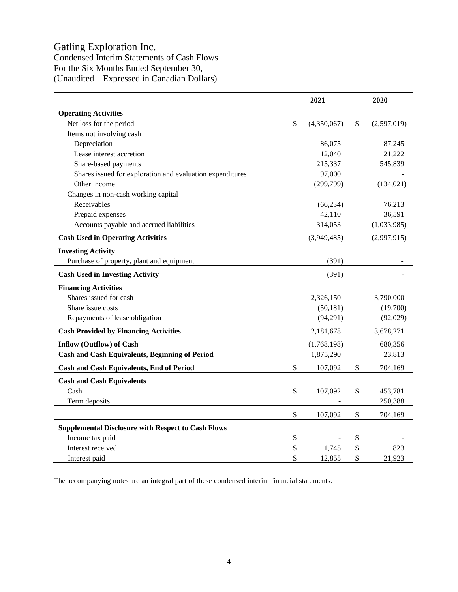# Gatling Exploration Inc.

Condensed Interim Statements of Cash Flows For the Six Months Ended September 30, (Unaudited – Expressed in Canadian Dollars)

|                                                           | 2021              | 2020 |             |  |
|-----------------------------------------------------------|-------------------|------|-------------|--|
| <b>Operating Activities</b>                               |                   |      |             |  |
| Net loss for the period                                   | \$<br>(4,350,067) | \$   | (2,597,019) |  |
| Items not involving cash                                  |                   |      |             |  |
| Depreciation                                              | 86,075            |      | 87,245      |  |
| Lease interest accretion                                  | 12,040            |      | 21,222      |  |
| Share-based payments                                      | 215,337           |      | 545,839     |  |
| Shares issued for exploration and evaluation expenditures | 97,000            |      |             |  |
| Other income                                              | (299,799)         |      | (134, 021)  |  |
| Changes in non-cash working capital                       |                   |      |             |  |
| Receivables                                               | (66, 234)         |      | 76,213      |  |
| Prepaid expenses                                          | 42,110            |      | 36,591      |  |
| Accounts payable and accrued liabilities                  | 314,053           |      | (1,033,985) |  |
| <b>Cash Used in Operating Activities</b>                  | (3,949,485)       |      | (2,997,915) |  |
| <b>Investing Activity</b>                                 |                   |      |             |  |
| Purchase of property, plant and equipment                 | (391)             |      |             |  |
| <b>Cash Used in Investing Activity</b>                    | (391)             |      |             |  |
| <b>Financing Activities</b>                               |                   |      |             |  |
| Shares issued for cash                                    | 2,326,150         |      | 3,790,000   |  |
| Share issue costs                                         | (50, 181)         |      | (19,700)    |  |
| Repayments of lease obligation                            | (94,291)          |      | (92,029)    |  |
| <b>Cash Provided by Financing Activities</b>              | 2,181,678         |      | 3,678,271   |  |
| <b>Inflow (Outflow) of Cash</b>                           | (1,768,198)       |      | 680,356     |  |
| <b>Cash and Cash Equivalents, Beginning of Period</b>     | 1,875,290         |      | 23,813      |  |
| Cash and Cash Equivalents, End of Period                  | \$<br>107,092     | \$   | 704,169     |  |
| <b>Cash and Cash Equivalents</b>                          |                   |      |             |  |
| Cash                                                      | \$<br>107,092     | \$   | 453,781     |  |
| Term deposits                                             |                   |      | 250,388     |  |
|                                                           |                   |      |             |  |
|                                                           | \$<br>107,092     | \$   | 704,169     |  |
| <b>Supplemental Disclosure with Respect to Cash Flows</b> |                   |      |             |  |
| Income tax paid                                           | \$                | \$   |             |  |
| Interest received                                         | \$<br>1,745       | \$   | 823         |  |
| Interest paid                                             | \$<br>12,855      | \$   | 21,923      |  |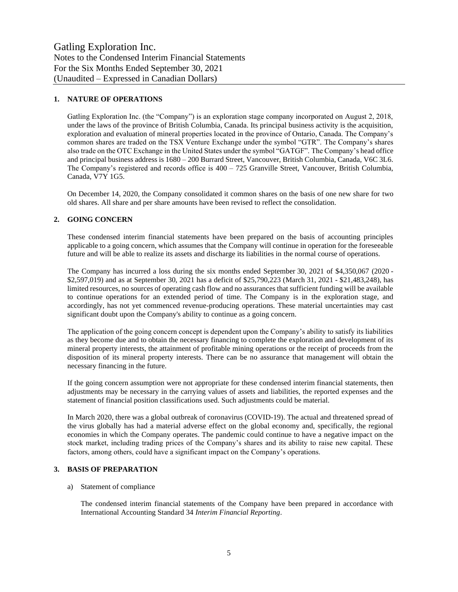# **1. NATURE OF OPERATIONS**

Gatling Exploration Inc. (the "Company") is an exploration stage company incorporated on August 2, 2018, under the laws of the province of British Columbia, Canada. Its principal business activity is the acquisition, exploration and evaluation of mineral properties located in the province of Ontario, Canada. The Company's common shares are traded on the TSX Venture Exchange under the symbol "GTR". The Company's shares also trade on the OTC Exchange in the United States under the symbol "GATGF". The Company's head office and principal business address is 1680 – 200 Burrard Street, Vancouver, British Columbia, Canada, V6C 3L6. The Company's registered and records office is 400 – 725 Granville Street, Vancouver, British Columbia, Canada, V7Y 1G5.

On December 14, 2020, the Company consolidated it common shares on the basis of one new share for two old shares. All share and per share amounts have been revised to reflect the consolidation.

# **2. GOING CONCERN**

These condensed interim financial statements have been prepared on the basis of accounting principles applicable to a going concern, which assumes that the Company will continue in operation for the foreseeable future and will be able to realize its assets and discharge its liabilities in the normal course of operations.

The Company has incurred a loss during the six months ended September 30, 2021 of \$4,350,067 (2020 - \$2,597,019) and as at September 30, 2021 has a deficit of \$25,790,223 (March 31, 2021 - \$21,483,248), has limited resources, no sources of operating cash flow and no assurances that sufficient funding will be available to continue operations for an extended period of time. The Company is in the exploration stage, and accordingly, has not yet commenced revenue-producing operations. These material uncertainties may cast significant doubt upon the Company's ability to continue as a going concern.

The application of the going concern concept is dependent upon the Company's ability to satisfy its liabilities as they become due and to obtain the necessary financing to complete the exploration and development of its mineral property interests, the attainment of profitable mining operations or the receipt of proceeds from the disposition of its mineral property interests. There can be no assurance that management will obtain the necessary financing in the future.

If the going concern assumption were not appropriate for these condensed interim financial statements, then adjustments may be necessary in the carrying values of assets and liabilities, the reported expenses and the statement of financial position classifications used. Such adjustments could be material.

In March 2020, there was a global outbreak of coronavirus (COVID-19). The actual and threatened spread of the virus globally has had a material adverse effect on the global economy and, specifically, the regional economies in which the Company operates. The pandemic could continue to have a negative impact on the stock market, including trading prices of the Company's shares and its ability to raise new capital. These factors, among others, could have a significant impact on the Company's operations.

## **3. BASIS OF PREPARATION**

#### a) Statement of compliance

The condensed interim financial statements of the Company have been prepared in accordance with International Accounting Standard 34 *Interim Financial Reporting*.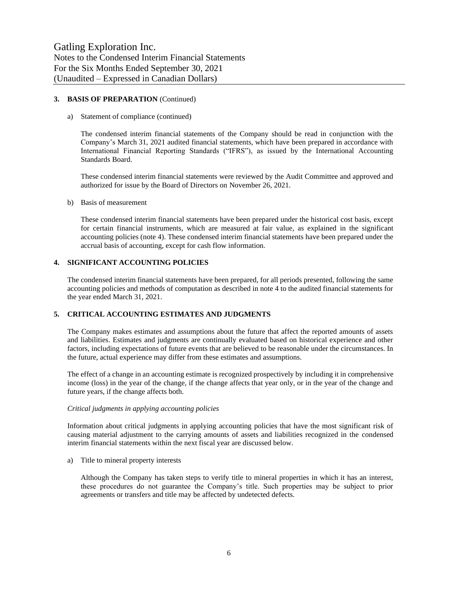## **3. BASIS OF PREPARATION** (Continued)

#### a) Statement of compliance (continued)

The condensed interim financial statements of the Company should be read in conjunction with the Company's March 31, 2021 audited financial statements, which have been prepared in accordance with International Financial Reporting Standards ("IFRS"), as issued by the International Accounting Standards Board.

These condensed interim financial statements were reviewed by the Audit Committee and approved and authorized for issue by the Board of Directors on November 26, 2021.

#### b) Basis of measurement

These condensed interim financial statements have been prepared under the historical cost basis, except for certain financial instruments, which are measured at fair value, as explained in the significant accounting policies (note 4). These condensed interim financial statements have been prepared under the accrual basis of accounting, except for cash flow information.

#### **4. SIGNIFICANT ACCOUNTING POLICIES**

The condensed interim financial statements have been prepared, for all periods presented, following the same accounting policies and methods of computation as described in note 4 to the audited financial statements for the year ended March 31, 2021.

#### **5. CRITICAL ACCOUNTING ESTIMATES AND JUDGMENTS**

The Company makes estimates and assumptions about the future that affect the reported amounts of assets and liabilities. Estimates and judgments are continually evaluated based on historical experience and other factors, including expectations of future events that are believed to be reasonable under the circumstances. In the future, actual experience may differ from these estimates and assumptions.

The effect of a change in an accounting estimate is recognized prospectively by including it in comprehensive income (loss) in the year of the change, if the change affects that year only, or in the year of the change and future years, if the change affects both.

#### *Critical judgments in applying accounting policies*

Information about critical judgments in applying accounting policies that have the most significant risk of causing material adjustment to the carrying amounts of assets and liabilities recognized in the condensed interim financial statements within the next fiscal year are discussed below.

a) Title to mineral property interests

Although the Company has taken steps to verify title to mineral properties in which it has an interest, these procedures do not guarantee the Company's title. Such properties may be subject to prior agreements or transfers and title may be affected by undetected defects.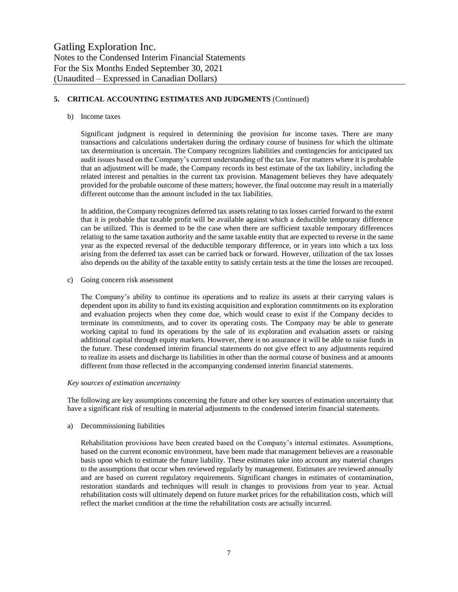# **5. CRITICAL ACCOUNTING ESTIMATES AND JUDGMENTS** (Continued)

#### b) Income taxes

Significant judgment is required in determining the provision for income taxes. There are many transactions and calculations undertaken during the ordinary course of business for which the ultimate tax determination is uncertain. The Company recognizes liabilities and contingencies for anticipated tax audit issues based on the Company's current understanding of the tax law. For matters where it is probable that an adjustment will be made, the Company records its best estimate of the tax liability, including the related interest and penalties in the current tax provision. Management believes they have adequately provided for the probable outcome of these matters; however, the final outcome may result in a materially different outcome than the amount included in the tax liabilities.

In addition, the Company recognizes deferred tax assets relating to tax losses carried forward to the extent that it is probable that taxable profit will be available against which a deductible temporary difference can be utilized. This is deemed to be the case when there are sufficient taxable temporary differences relating to the same taxation authority and the same taxable entity that are expected to reverse in the same year as the expected reversal of the deductible temporary difference, or in years into which a tax loss arising from the deferred tax asset can be carried back or forward. However, utilization of the tax losses also depends on the ability of the taxable entity to satisfy certain tests at the time the losses are recouped.

c) Going concern risk assessment

The Company's ability to continue its operations and to realize its assets at their carrying values is dependent upon its ability to fund its existing acquisition and exploration commitments on its exploration and evaluation projects when they come due, which would cease to exist if the Company decides to terminate its commitments, and to cover its operating costs. The Company may be able to generate working capital to fund its operations by the sale of its exploration and evaluation assets or raising additional capital through equity markets. However, there is no assurance it will be able to raise funds in the future. These condensed interim financial statements do not give effect to any adjustments required to realize its assets and discharge its liabilities in other than the normal course of business and at amounts different from those reflected in the accompanying condensed interim financial statements.

#### *Key sources of estimation uncertainty*

The following are key assumptions concerning the future and other key sources of estimation uncertainty that have a significant risk of resulting in material adjustments to the condensed interim financial statements.

#### a) Decommissioning liabilities

Rehabilitation provisions have been created based on the Company's internal estimates. Assumptions, based on the current economic environment, have been made that management believes are a reasonable basis upon which to estimate the future liability. These estimates take into account any material changes to the assumptions that occur when reviewed regularly by management. Estimates are reviewed annually and are based on current regulatory requirements. Significant changes in estimates of contamination, restoration standards and techniques will result in changes to provisions from year to year. Actual rehabilitation costs will ultimately depend on future market prices for the rehabilitation costs, which will reflect the market condition at the time the rehabilitation costs are actually incurred.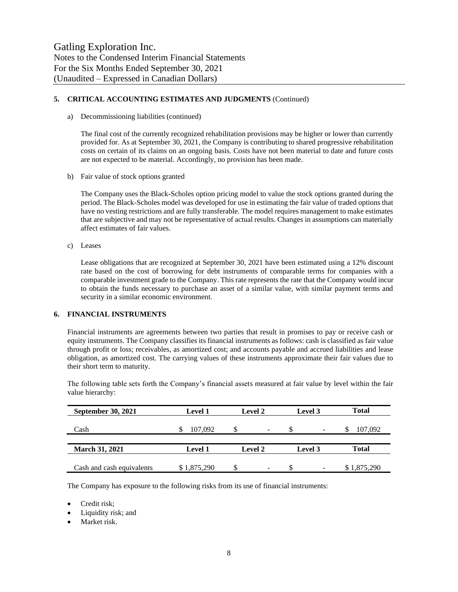# **5. CRITICAL ACCOUNTING ESTIMATES AND JUDGMENTS** (Continued)

a) Decommissioning liabilities (continued)

The final cost of the currently recognized rehabilitation provisions may be higher or lower than currently provided for. As at September 30, 2021, the Company is contributing to shared progressive rehabilitation costs on certain of its claims on an ongoing basis. Costs have not been material to date and future costs are not expected to be material. Accordingly, no provision has been made.

b) Fair value of stock options granted

The Company uses the Black-Scholes option pricing model to value the stock options granted during the period. The Black-Scholes model was developed for use in estimating the fair value of traded options that have no vesting restrictions and are fully transferable. The model requires management to make estimates that are subjective and may not be representative of actual results. Changes in assumptions can materially affect estimates of fair values.

c) Leases

Lease obligations that are recognized at September 30, 2021 have been estimated using a 12% discount rate based on the cost of borrowing for debt instruments of comparable terms for companies with a comparable investment grade to the Company. This rate represents the rate that the Company would incur to obtain the funds necessary to purchase an asset of a similar value, with similar payment terms and security in a similar economic environment.

# **6. FINANCIAL INSTRUMENTS**

Financial instruments are agreements between two parties that result in promises to pay or receive cash or equity instruments. The Company classifies its financial instruments as follows: cash is classified as fair value through profit or loss; receivables, as amortized cost; and accounts payable and accrued liabilities and lease obligation, as amortized cost. The carrying values of these instruments approximate their fair values due to their short term to maturity.

The following table sets forth the Company's financial assets measured at fair value by level within the fair value hierarchy:

| September 30, 2021        | <b>Level 1</b> | <b>Level 2</b>           | Level 3                        | <b>Total</b> |
|---------------------------|----------------|--------------------------|--------------------------------|--------------|
| Cash                      | 107,092        | $\overline{\phantom{a}}$ | $\overline{\phantom{0}}$       | 107,092      |
|                           |                |                          |                                |              |
| <b>March 31, 2021</b>     | <b>Level 1</b> | <b>Level 2</b>           | Level 3                        | Total        |
|                           |                |                          |                                |              |
| Cash and cash equivalents | \$1,875,290    | $\overline{\phantom{a}}$ | S.<br>$\overline{\phantom{0}}$ | \$1,875,290  |

The Company has exposure to the following risks from its use of financial instruments:

- Credit risk;
- Liquidity risk; and
- Market risk.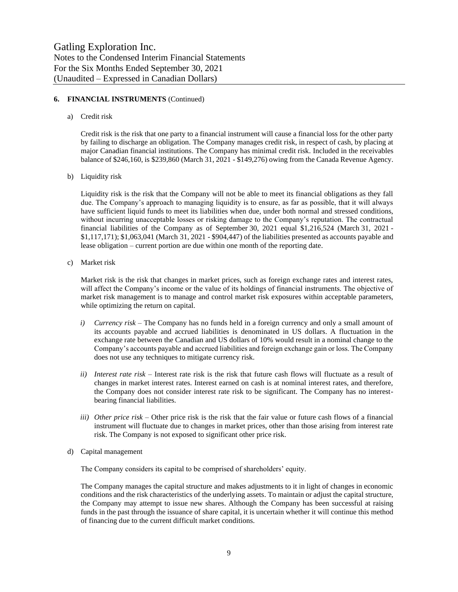# **6. FINANCIAL INSTRUMENTS** (Continued)

#### a) Credit risk

Credit risk is the risk that one party to a financial instrument will cause a financial loss for the other party by failing to discharge an obligation. The Company manages credit risk, in respect of cash, by placing at major Canadian financial institutions. The Company has minimal credit risk. Included in the receivables balance of \$246,160, is \$239,860 (March 31, 2021 - \$149,276) owing from the Canada Revenue Agency.

b) Liquidity risk

Liquidity risk is the risk that the Company will not be able to meet its financial obligations as they fall due. The Company's approach to managing liquidity is to ensure, as far as possible, that it will always have sufficient liquid funds to meet its liabilities when due, under both normal and stressed conditions, without incurring unacceptable losses or risking damage to the Company's reputation. The contractual financial liabilities of the Company as of September 30, 2021 equal \$1,216,524 (March 31, 2021 - \$1,117,171); \$1,063,041 (March 31, 2021 - \$904,447) of the liabilities presented as accounts payable and lease obligation – current portion are due within one month of the reporting date.

c) Market risk

Market risk is the risk that changes in market prices, such as foreign exchange rates and interest rates, will affect the Company's income or the value of its holdings of financial instruments. The objective of market risk management is to manage and control market risk exposures within acceptable parameters, while optimizing the return on capital.

- *i) Currency risk –* The Company has no funds held in a foreign currency and only a small amount of its accounts payable and accrued liabilities is denominated in US dollars. A fluctuation in the exchange rate between the Canadian and US dollars of 10% would result in a nominal change to the Company's accounts payable and accrued liabilities and foreign exchange gain or loss. The Company does not use any techniques to mitigate currency risk.
- *ii) Interest rate risk –* Interest rate risk is the risk that future cash flows will fluctuate as a result of changes in market interest rates. Interest earned on cash is at nominal interest rates, and therefore, the Company does not consider interest rate risk to be significant. The Company has no interestbearing financial liabilities.
- *iii) Other price risk –* Other price risk is the risk that the fair value or future cash flows of a financial instrument will fluctuate due to changes in market prices, other than those arising from interest rate risk. The Company is not exposed to significant other price risk.
- d) Capital management

The Company considers its capital to be comprised of shareholders' equity.

The Company manages the capital structure and makes adjustments to it in light of changes in economic conditions and the risk characteristics of the underlying assets. To maintain or adjust the capital structure, the Company may attempt to issue new shares. Although the Company has been successful at raising funds in the past through the issuance of share capital, it is uncertain whether it will continue this method of financing due to the current difficult market conditions.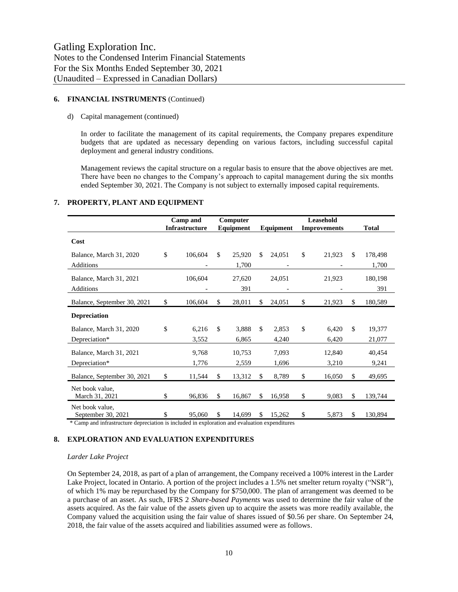## **6. FINANCIAL INSTRUMENTS** (Continued)

#### d) Capital management (continued)

In order to facilitate the management of its capital requirements, the Company prepares expenditure budgets that are updated as necessary depending on various factors, including successful capital deployment and general industry conditions.

Management reviews the capital structure on a regular basis to ensure that the above objectives are met. There have been no changes to the Company's approach to capital management during the six months ended September 30, 2021. The Company is not subject to externally imposed capital requirements.

#### **7. PROPERTY, PLANT AND EQUIPMENT**

|                                       | Computer<br>Camp and |                       |              |           |              |                     |               |              |
|---------------------------------------|----------------------|-----------------------|--------------|-----------|--------------|---------------------|---------------|--------------|
|                                       |                      | <b>Infrastructure</b> |              | Equipment | Equipment    | <b>Improvements</b> |               | <b>Total</b> |
| Cost                                  |                      |                       |              |           |              |                     |               |              |
| Balance, March 31, 2020               | \$                   | 106,604               | $\mathbb{S}$ | 25,920    | \$<br>24,051 | \$<br>21,923        | \$.           | 178,498      |
| <b>Additions</b>                      |                      |                       |              | 1,700     |              |                     |               | 1,700        |
| Balance, March 31, 2021               |                      | 106,604               |              | 27,620    | 24,051       | 21,923              |               | 180,198      |
| Additions                             |                      |                       |              | 391       |              |                     |               | 391          |
| Balance, September 30, 2021           | \$                   | 106,604               | $\mathbb{S}$ | 28,011    | \$<br>24,051 | \$<br>21,923        | \$.           | 180,589      |
| <b>Depreciation</b>                   |                      |                       |              |           |              |                     |               |              |
| Balance, March 31, 2020               | \$                   | 6,216                 | \$           | 3,888     | \$<br>2,853  | \$<br>6,420         | <sup>\$</sup> | 19,377       |
| Depreciation*                         |                      | 3,552                 |              | 6,865     | 4,240        | 6,420               |               | 21,077       |
| Balance, March 31, 2021               |                      | 9,768                 |              | 10,753    | 7,093        | 12,840              |               | 40,454       |
| Depreciation*                         |                      | 1,776                 |              | 2,559     | 1,696        | 3,210               |               | 9,241        |
| Balance, September 30, 2021           | \$                   | 11,544                | $\mathbb{S}$ | 13,312    | \$<br>8,789  | \$<br>16,050        | \$.           | 49,695       |
| Net book value.<br>March 31, 2021     | \$                   | 96,836                | \$           | 16,867    | \$<br>16,958 | \$<br>9,083         | \$            | 139,744      |
| Net book value.<br>September 30, 2021 | \$                   | 95,060                | \$           | 14,699    | \$<br>15,262 | \$<br>5,873         | \$            | 130,894      |

\* Camp and infrastructure depreciation is included in exploration and evaluation expenditures

#### **8. EXPLORATION AND EVALUATION EXPENDITURES**

# *Larder Lake Project*

On September 24, 2018, as part of a plan of arrangement, the Company received a 100% interest in the Larder Lake Project, located in Ontario. A portion of the project includes a 1.5% net smelter return royalty ("NSR"), of which 1% may be repurchased by the Company for \$750,000. The plan of arrangement was deemed to be a purchase of an asset. As such, IFRS 2 *Share-based Payments* was used to determine the fair value of the assets acquired. As the fair value of the assets given up to acquire the assets was more readily available, the Company valued the acquisition using the fair value of shares issued of \$0.56 per share. On September 24, 2018, the fair value of the assets acquired and liabilities assumed were as follows.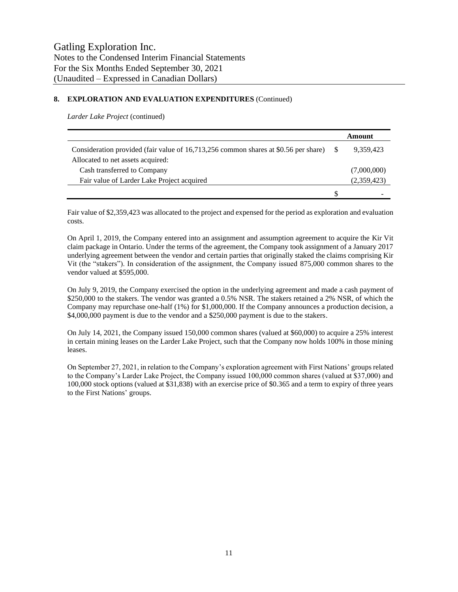# **8. EXPLORATION AND EVALUATION EXPENDITURES** (Continued)

*Larder Lake Project* (continued)

|                                                                                     |   | Amount      |
|-------------------------------------------------------------------------------------|---|-------------|
| Consideration provided (fair value of 16,713,256 common shares at \$0.56 per share) |   | 9.359.423   |
| Allocated to net assets acquired:                                                   |   |             |
| Cash transferred to Company                                                         |   | (7,000,000) |
| Fair value of Larder Lake Project acquired                                          |   | (2,359,423) |
|                                                                                     | S |             |

Fair value of \$2,359,423 was allocated to the project and expensed for the period as exploration and evaluation costs.

On April 1, 2019, the Company entered into an assignment and assumption agreement to acquire the Kir Vit claim package in Ontario. Under the terms of the agreement, the Company took assignment of a January 2017 underlying agreement between the vendor and certain parties that originally staked the claims comprising Kir Vit (the "stakers"). In consideration of the assignment, the Company issued 875,000 common shares to the vendor valued at \$595,000.

On July 9, 2019, the Company exercised the option in the underlying agreement and made a cash payment of \$250,000 to the stakers. The vendor was granted a 0.5% NSR. The stakers retained a 2% NSR, of which the Company may repurchase one-half (1%) for \$1,000,000. If the Company announces a production decision, a \$4,000,000 payment is due to the vendor and a \$250,000 payment is due to the stakers.

On July 14, 2021, the Company issued 150,000 common shares (valued at \$60,000) to acquire a 25% interest in certain mining leases on the Larder Lake Project, such that the Company now holds 100% in those mining leases.

On September 27, 2021, in relation to the Company's exploration agreement with First Nations' groups related to the Company's Larder Lake Project, the Company issued 100,000 common shares (valued at \$37,000) and 100,000 stock options (valued at \$31,838) with an exercise price of \$0.365 and a term to expiry of three years to the First Nations' groups.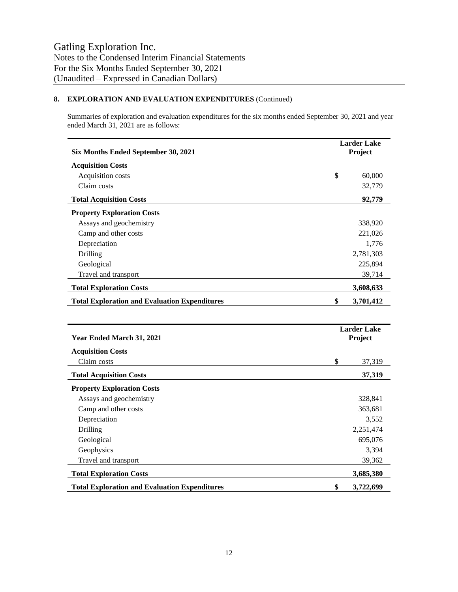# **8. EXPLORATION AND EVALUATION EXPENDITURES** (Continued)

Summaries of exploration and evaluation expenditures for the six months ended September 30, 2021 and year ended March 31, 2021 are as follows:

| Six Months Ended September 30, 2021                  | <b>Larder Lake</b><br>Project |                               |  |
|------------------------------------------------------|-------------------------------|-------------------------------|--|
| <b>Acquisition Costs</b>                             |                               |                               |  |
| Acquisition costs                                    | \$                            | 60,000                        |  |
| Claim costs                                          |                               | 32,779                        |  |
| <b>Total Acquisition Costs</b>                       |                               | 92,779                        |  |
| <b>Property Exploration Costs</b>                    |                               |                               |  |
| Assays and geochemistry                              |                               | 338,920                       |  |
| Camp and other costs                                 |                               | 221,026                       |  |
| Depreciation                                         |                               | 1,776                         |  |
| Drilling                                             |                               | 2,781,303                     |  |
| Geological                                           |                               | 225,894                       |  |
| Travel and transport                                 |                               | 39,714                        |  |
| <b>Total Exploration Costs</b>                       |                               | 3,608,633                     |  |
| <b>Total Exploration and Evaluation Expenditures</b> | \$                            | 3,701,412                     |  |
|                                                      |                               |                               |  |
| Year Ended March 31, 2021                            |                               | <b>Larder Lake</b><br>Project |  |
| <b>Acquisition Costs</b>                             |                               |                               |  |
| Claim costs                                          | \$                            | 37,319                        |  |
| <b>Total Acquisition Costs</b>                       |                               | 37,319                        |  |
| <b>Property Exploration Costs</b>                    |                               |                               |  |
| Assays and geochemistry                              |                               | 328,841                       |  |
| Camp and other costs                                 |                               | 363,681                       |  |
| Depreciation                                         |                               | 3,552                         |  |
| Drilling                                             |                               | 2,251,474                     |  |
| Geological                                           |                               | 695,076                       |  |
| Geophysics                                           |                               | 3,394                         |  |
| Travel and transport                                 |                               | 39,362                        |  |
| <b>Total Exploration Costs</b>                       |                               | 3,685,380                     |  |
| <b>Total Exploration and Evaluation Expenditures</b> | \$                            | 3,722,699                     |  |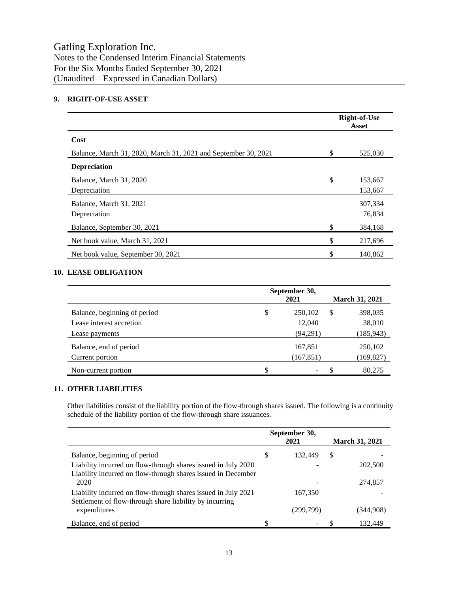# **9. RIGHT-OF-USE ASSET**

|                                                                | <b>Right-of-Use</b><br>Asset |                    |  |
|----------------------------------------------------------------|------------------------------|--------------------|--|
| Cost                                                           |                              |                    |  |
| Balance, March 31, 2020, March 31, 2021 and September 30, 2021 | \$                           | 525,030            |  |
| <b>Depreciation</b>                                            |                              |                    |  |
| Balance, March 31, 2020<br>Depreciation                        | \$                           | 153,667<br>153,667 |  |
| Balance, March 31, 2021<br>Depreciation                        |                              | 307,334<br>76,834  |  |
| Balance, September 30, 2021                                    | \$                           | 384,168            |  |
| Net book value, March 31, 2021                                 | \$                           | 217,696            |  |
| Net book value, September 30, 2021                             | \$                           | 140,862            |  |

# **10. LEASE OBLIGATION**

|                              | September 30,<br>2021 |            |   | <b>March 31, 2021</b> |
|------------------------------|-----------------------|------------|---|-----------------------|
| Balance, beginning of period | \$                    | 250,102    | S | 398,035               |
| Lease interest accretion     |                       | 12,040     |   | 38,010                |
| Lease payments               |                       | (94,291)   |   | (185, 943)            |
| Balance, end of period       |                       | 167,851    |   | 250,102               |
| Current portion              |                       | (167, 851) |   | (169, 827)            |
| Non-current portion          | \$                    |            |   | 80,275                |

# **11. OTHER LIABILITIES**

Other liabilities consist of the liability portion of the flow-through shares issued. The following is a continuity schedule of the liability portion of the flow-through share issuances.

|                                                                                                                               |   | September 30,<br>2021 |   | <b>March 31, 2021</b> |  |
|-------------------------------------------------------------------------------------------------------------------------------|---|-----------------------|---|-----------------------|--|
| Balance, beginning of period                                                                                                  | S | 132,449               | S |                       |  |
| Liability incurred on flow-through shares issued in July 2020<br>Liability incurred on flow-through shares issued in December |   |                       |   | 202,500               |  |
| 2020                                                                                                                          |   |                       |   | 274,857               |  |
| Liability incurred on flow-through shares issued in July 2021<br>Settlement of flow-through share liability by incurring      |   | 167,350               |   |                       |  |
| expenditures                                                                                                                  |   | (299,799)             |   | (344,908)             |  |
| Balance, end of period                                                                                                        |   |                       |   | 132.449               |  |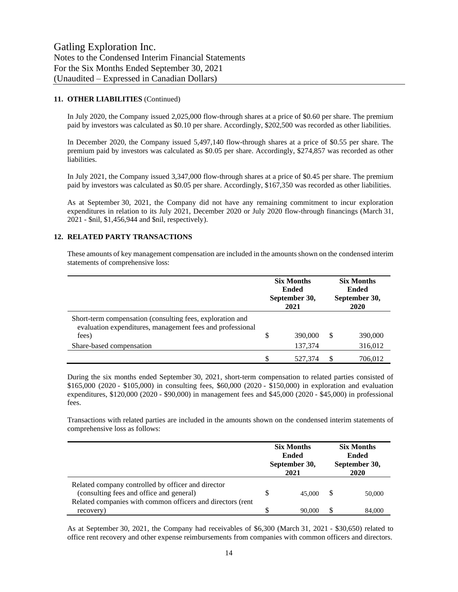## **11. OTHER LIABILITIES** (Continued)

In July 2020, the Company issued 2,025,000 flow-through shares at a price of \$0.60 per share. The premium paid by investors was calculated as \$0.10 per share. Accordingly, \$202,500 was recorded as other liabilities.

In December 2020, the Company issued 5,497,140 flow-through shares at a price of \$0.55 per share. The premium paid by investors was calculated as \$0.05 per share. Accordingly, \$274,857 was recorded as other liabilities.

In July 2021, the Company issued 3,347,000 flow-through shares at a price of \$0.45 per share. The premium paid by investors was calculated as \$0.05 per share. Accordingly, \$167,350 was recorded as other liabilities.

As at September 30, 2021, the Company did not have any remaining commitment to incur exploration expenditures in relation to its July 2021, December 2020 or July 2020 flow-through financings (March 31, 2021 - \$nil, \$1,456,944 and \$nil, respectively).

## **12. RELATED PARTY TRANSACTIONS**

These amounts of key management compensation are included in the amounts shown on the condensed interim statements of comprehensive loss:

|                                                                                                                                 |    | <b>Six Months</b><br><b>Ended</b><br>September 30,<br>2021 |   | <b>Six Months</b><br>Ended<br>September 30,<br>2020 |
|---------------------------------------------------------------------------------------------------------------------------------|----|------------------------------------------------------------|---|-----------------------------------------------------|
| Short-term compensation (consulting fees, exploration and<br>evaluation expenditures, management fees and professional<br>fees) | \$ | 390,000                                                    | S | 390,000                                             |
| Share-based compensation                                                                                                        |    | 137,374                                                    |   | 316,012                                             |
|                                                                                                                                 | S  | 527,374                                                    |   | 706.012                                             |

During the six months ended September 30, 2021, short-term compensation to related parties consisted of \$165,000 (2020 - \$105,000) in consulting fees, \$60,000 (2020 - \$150,000) in exploration and evaluation expenditures, \$120,000 (2020 - \$90,000) in management fees and \$45,000 (2020 - \$45,000) in professional fees.

Transactions with related parties are included in the amounts shown on the condensed interim statements of comprehensive loss as follows:

|                                                                                                                                                              | <b>Six Months</b><br><b>Ended</b><br>September 30,<br>2021 |        | <b>Six Months</b><br>Ended<br>September 30,<br>2020 |        |
|--------------------------------------------------------------------------------------------------------------------------------------------------------------|------------------------------------------------------------|--------|-----------------------------------------------------|--------|
| Related company controlled by officer and director<br>(consulting fees and office and general)<br>Related companies with common officers and directors (rent | S                                                          | 45,000 |                                                     | 50,000 |
| recovery)                                                                                                                                                    |                                                            | 90,000 | \$.                                                 | 84,000 |

As at September 30, 2021, the Company had receivables of \$6,300 (March 31, 2021 - \$30,650) related to office rent recovery and other expense reimbursements from companies with common officers and directors.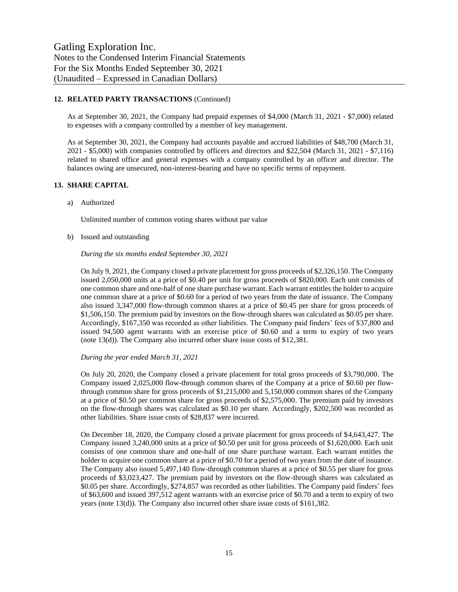# **12. RELATED PARTY TRANSACTIONS** (Continued)

As at September 30, 2021, the Company had prepaid expenses of \$4,000 (March 31, 2021 - \$7,000) related to expenses with a company controlled by a member of key management.

As at September 30, 2021, the Company had accounts payable and accrued liabilities of \$48,700 (March 31, 2021 - \$5,000) with companies controlled by officers and directors and \$22,504 (March 31, 2021 - \$7,116) related to shared office and general expenses with a company controlled by an officer and director. The balances owing are unsecured, non-interest-bearing and have no specific terms of repayment.

# **13. SHARE CAPITAL**

a) Authorized

Unlimited number of common voting shares without par value

b) Issued and outstanding

#### *During the six months ended September 30, 2021*

On July 9, 2021, the Company closed a private placement for gross proceeds of \$2,326,150. The Company issued 2,050,000 units at a price of \$0.40 per unit for gross proceeds of \$820,000. Each unit consists of one common share and one-half of one share purchase warrant. Each warrant entitles the holder to acquire one common share at a price of \$0.60 for a period of two years from the date of issuance. The Company also issued 3,347,000 flow-through common shares at a price of \$0.45 per share for gross proceeds of \$1,506,150. The premium paid by investors on the flow-through shares was calculated as \$0.05 per share. Accordingly, \$167,350 was recorded as other liabilities. The Company paid finders' fees of \$37,800 and issued 94,500 agent warrants with an exercise price of \$0.60 and a term to expiry of two years (note 13(d)). The Company also incurred other share issue costs of \$12,381.

#### *During the year ended March 31, 2021*

On July 20, 2020, the Company closed a private placement for total gross proceeds of \$3,790,000. The Company issued 2,025,000 flow-through common shares of the Company at a price of \$0.60 per flowthrough common share for gross proceeds of \$1,215,000 and 5,150,000 common shares of the Company at a price of \$0.50 per common share for gross proceeds of \$2,575,000. The premium paid by investors on the flow-through shares was calculated as \$0.10 per share. Accordingly, \$202,500 was recorded as other liabilities. Share issue costs of \$28,837 were incurred.

On December 18, 2020, the Company closed a private placement for gross proceeds of \$4,643,427. The Company issued 3,240,000 units at a price of \$0.50 per unit for gross proceeds of \$1,620,000. Each unit consists of one common share and one-half of one share purchase warrant. Each warrant entitles the holder to acquire one common share at a price of \$0.70 for a period of two years from the date of issuance. The Company also issued 5,497,140 flow-through common shares at a price of \$0.55 per share for gross proceeds of \$3,023,427. The premium paid by investors on the flow-through shares was calculated as \$0.05 per share. Accordingly, \$274,857 was recorded as other liabilities. The Company paid finders' fees of \$63,600 and issued 397,512 agent warrants with an exercise price of \$0.70 and a term to expiry of two years (note 13(d)). The Company also incurred other share issue costs of \$161,382.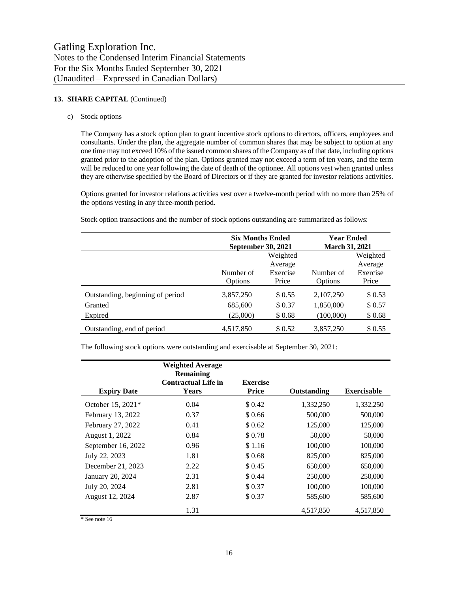# 13. **SHARE CAPITAL** (Continued)

c) Stock options

The Company has a stock option plan to grant incentive stock options to directors, officers, employees and consultants. Under the plan, the aggregate number of common shares that may be subject to option at any one time may not exceed 10% of the issued common shares of the Company as of that date, including options granted prior to the adoption of the plan. Options granted may not exceed a term of ten years, and the term will be reduced to one year following the date of death of the optionee. All options vest when granted unless they are otherwise specified by the Board of Directors or if they are granted for investor relations activities.

Options granted for investor relations activities vest over a twelve-month period with no more than 25% of the options vesting in any three-month period.

Stock option transactions and the number of stock options outstanding are summarized as follows:

|                                  | <b>Six Months Ended</b><br><b>September 30, 2021</b> |          | <b>Year Ended</b><br><b>March 31, 2021</b> |          |  |
|----------------------------------|------------------------------------------------------|----------|--------------------------------------------|----------|--|
|                                  | Weighted                                             |          |                                            | Weighted |  |
|                                  |                                                      | Average  |                                            | Average  |  |
|                                  | Number of                                            | Exercise | Number of                                  | Exercise |  |
|                                  | Options                                              | Price    | <b>Options</b>                             | Price    |  |
| Outstanding, beginning of period | 3,857,250                                            | \$ 0.55  | 2,107,250                                  | \$0.53   |  |
| Granted                          | 685,600                                              | \$0.37   | 1,850,000                                  | \$0.57   |  |
| Expired                          | (25,000)                                             | \$0.68   | (100,000)                                  | \$0.68   |  |
| Outstanding, end of period       | 4,517,850                                            | \$ 0.52  | 3,857,250                                  | \$ 0.55  |  |

The following stock options were outstanding and exercisable at September 30, 2021:

|                    | <b>Weighted Average</b><br><b>Remaining</b><br><b>Contractual Life in</b> | <b>Exercise</b> |             |                    |
|--------------------|---------------------------------------------------------------------------|-----------------|-------------|--------------------|
| <b>Expiry Date</b> | <b>Years</b>                                                              | <b>Price</b>    | Outstanding | <b>Exercisable</b> |
| October 15, 2021*  | 0.04                                                                      | \$0.42          | 1,332,250   | 1,332,250          |
| February 13, 2022  | 0.37                                                                      | \$0.66          | 500,000     | 500,000            |
| February 27, 2022  | 0.41                                                                      | \$0.62          | 125,000     | 125,000            |
| August 1, 2022     | 0.84                                                                      | \$0.78          | 50,000      | 50,000             |
| September 16, 2022 | 0.96                                                                      | \$1.16          | 100,000     | 100,000            |
| July 22, 2023      | 1.81                                                                      | \$0.68          | 825,000     | 825,000            |
| December 21, 2023  | 2.22                                                                      | \$ 0.45         | 650,000     | 650,000            |
| January 20, 2024   | 2.31                                                                      | \$0.44          | 250,000     | 250,000            |
| July 20, 2024      | 2.81                                                                      | \$0.37          | 100,000     | 100,000            |
| August 12, 2024    | 2.87                                                                      | \$0.37          | 585,600     | 585,600            |
|                    | 1.31                                                                      |                 | 4.517.850   | 4,517,850          |

\* See note 16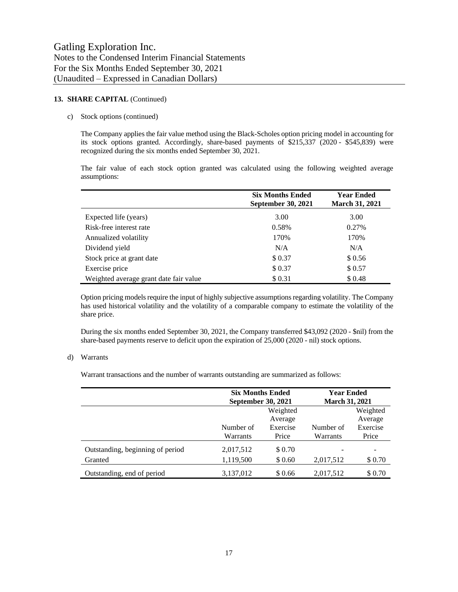## 13. **SHARE CAPITAL** (Continued)

## c) Stock options (continued)

The Company applies the fair value method using the Black-Scholes option pricing model in accounting for its stock options granted. Accordingly, share-based payments of \$215,337 (2020 - \$545,839) were recognized during the six months ended September 30, 2021.

The fair value of each stock option granted was calculated using the following weighted average assumptions:

|                                        | <b>Six Months Ended</b><br><b>September 30, 2021</b> | <b>Year Ended</b><br><b>March 31, 2021</b> |
|----------------------------------------|------------------------------------------------------|--------------------------------------------|
| Expected life (years)                  | 3.00                                                 | 3.00                                       |
| Risk-free interest rate                | 0.58%                                                | 0.27%                                      |
| Annualized volatility                  | 170%                                                 | 170%                                       |
| Dividend yield                         | N/A                                                  | N/A                                        |
| Stock price at grant date              | \$0.37                                               | \$0.56                                     |
| Exercise price                         | \$0.37                                               | \$0.57                                     |
| Weighted average grant date fair value | \$0.31                                               | \$0.48                                     |

Option pricing models require the input of highly subjective assumptions regarding volatility. The Company has used historical volatility and the volatility of a comparable company to estimate the volatility of the share price.

During the six months ended September 30, 2021, the Company transferred \$43,092 (2020 - \$nil) from the share-based payments reserve to deficit upon the expiration of 25,000 (2020 - nil) stock options.

#### d) Warrants

Warrant transactions and the number of warrants outstanding are summarized as follows:

|                                  | <b>Six Months Ended</b><br><b>September 30, 2021</b> |          | <b>Year Ended</b><br><b>March 31, 2021</b> |          |
|----------------------------------|------------------------------------------------------|----------|--------------------------------------------|----------|
|                                  |                                                      | Weighted |                                            | Weighted |
|                                  |                                                      | Average  |                                            | Average  |
|                                  | Number of                                            | Exercise | Number of                                  | Exercise |
|                                  | Warrants                                             | Price    | Warrants                                   | Price    |
| Outstanding, beginning of period | 2,017,512                                            | \$0.70   |                                            |          |
| Granted                          | 1,119,500                                            | \$ 0.60  | 2,017,512                                  | \$0.70   |
| Outstanding, end of period       | 3,137,012                                            | \$0.66   | 2,017,512                                  | \$0.70   |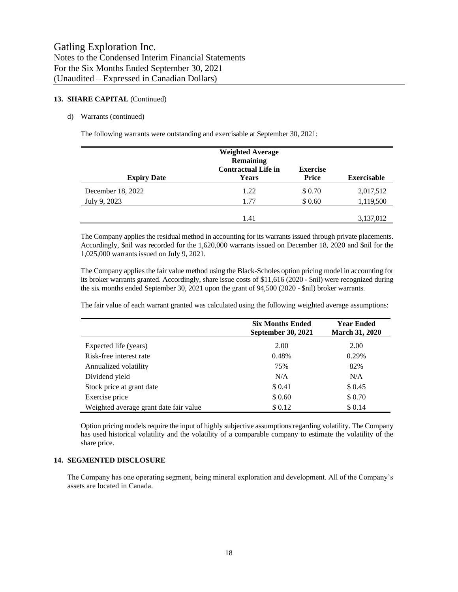## 13. **SHARE CAPITAL** (Continued)

#### d) Warrants (continued)

The following warrants were outstanding and exercisable at September 30, 2021:

| <b>Expiry Date</b>                | <b>Weighted Average</b><br><b>Remaining</b><br><b>Contractual Life in</b><br><b>Years</b> | <b>Exercise</b><br><b>Price</b> | <b>Exercisable</b>     |
|-----------------------------------|-------------------------------------------------------------------------------------------|---------------------------------|------------------------|
| December 18, 2022<br>July 9, 2023 | 1.22<br>1.77                                                                              | \$0.70<br>\$0.60                | 2,017,512<br>1,119,500 |
|                                   | 1.41                                                                                      |                                 | 3,137,012              |

The Company applies the residual method in accounting for its warrants issued through private placements. Accordingly, \$nil was recorded for the 1,620,000 warrants issued on December 18, 2020 and \$nil for the 1,025,000 warrants issued on July 9, 2021.

The Company applies the fair value method using the Black-Scholes option pricing model in accounting for its broker warrants granted. Accordingly, share issue costs of \$11,616 (2020 - \$nil) were recognized during the six months ended September 30, 2021 upon the grant of 94,500 (2020 - \$nil) broker warrants.

The fair value of each warrant granted was calculated using the following weighted average assumptions:

|                                        | <b>Six Months Ended</b><br><b>September 30, 2021</b> | <b>Year Ended</b><br><b>March 31, 2020</b> |
|----------------------------------------|------------------------------------------------------|--------------------------------------------|
| Expected life (years)                  | 2.00                                                 | 2.00                                       |
| Risk-free interest rate                | 0.48%                                                | 0.29%                                      |
| Annualized volatility                  | 75%                                                  | 82%                                        |
| Dividend yield                         | N/A                                                  | N/A                                        |
| Stock price at grant date              | \$0.41                                               | \$ 0.45                                    |
| Exercise price                         | \$0.60                                               | \$0.70                                     |
| Weighted average grant date fair value | \$0.12                                               | \$0.14                                     |

Option pricing models require the input of highly subjective assumptions regarding volatility. The Company has used historical volatility and the volatility of a comparable company to estimate the volatility of the share price.

## **14. SEGMENTED DISCLOSURE**

The Company has one operating segment, being mineral exploration and development. All of the Company's assets are located in Canada.